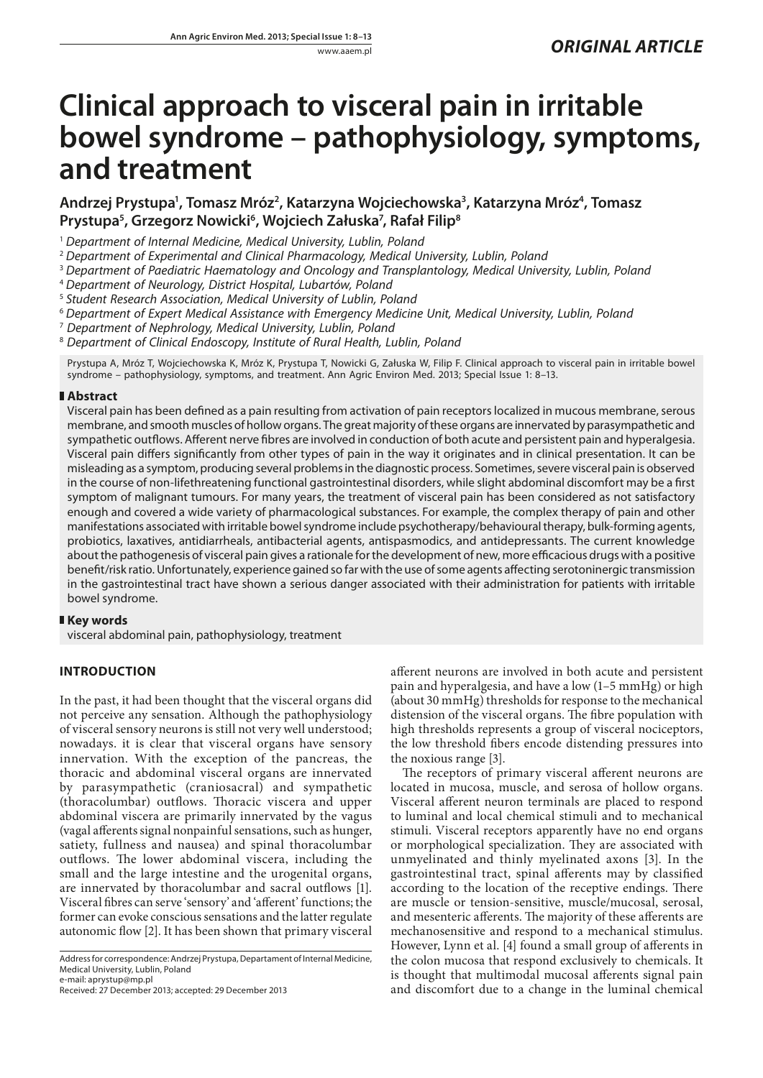# **Clinical approach to visceral pain in irritable bowel syndrome – pathophysiology, symptoms, and treatment**

Andrzej Prystupa<sup>1</sup>, Tomasz Mróz<sup>2</sup>, Katarzyna Wojciechowska<sup>3</sup>, Katarzyna Mróz<sup>4</sup>, Tomasz **Prystupa5 , Grzegorz Nowicki6 , Wojciech Załuska7 , Rafał Filip8**

<sup>1</sup> *Department of Internal Medicine, Medical University, Lublin, Poland*

<sup>2</sup> *Department of Experimental and Clinical Pharmacology, Medical University, Lublin, Poland*

<sup>3</sup> *Department of Paediatric Haematology and Oncology and Transplantology, Medical University, Lublin, Poland*

<sup>4</sup> *Department of Neurology, District Hospital, Lubartów, Poland*

<sup>5</sup> *Student Research Association, Medical University of Lublin, Poland*

<sup>6</sup> *Department of Expert Medical Assistance with Emergency Medicine Unit, Medical University, Lublin, Poland*

7  *Department of Nephrology, Medical University, Lublin, Poland*

8  *Department of Clinical Endoscopy, Institute of Rural Health, Lublin, Poland*

Prystupa A, Mróz T, Wojciechowska K, Mróz K, Prystupa T, Nowicki G, Załuska W, Filip F. Clinical approach to visceral pain in irritable bowel syndrome – pathophysiology, symptoms, and treatment. Ann Agric Environ Med. 2013; Special Issue 1: 8–13.

# **Abstract**

Visceral pain has been defined as a pain resulting from activation of pain receptors localized in mucous membrane, serous membrane, and smooth muscles of hollow organs. The great majority of these organs are innervated by parasympathetic and sympathetic outflows. Afferent nerve fibres are involved in conduction of both acute and persistent pain and hyperalgesia. Visceral pain differs significantly from other types of pain in the way it originates and in clinical presentation. It can be misleading as a symptom, producing several problems in the diagnostic process. Sometimes, severe visceral pain is observed in the course of non-lifethreatening functional gastrointestinal disorders, while slight abdominal discomfort may be a first symptom of malignant tumours. For many years, the treatment of visceral pain has been considered as not satisfactory enough and covered a wide variety of pharmacological substances. For example, the complex therapy of pain and other manifestations associated with irritable bowel syndrome include psychotherapy/behavioural therapy, bulk-forming agents, probiotics, laxatives, antidiarrheals, antibacterial agents, antispasmodics, and antidepressants. The current knowledge about the pathogenesis of visceral pain gives a rationale for the development of new, more efficacious drugs with a positive benefit/risk ratio. Unfortunately, experience gained so far with the use of some agents affecting serotoninergic transmission in the gastrointestinal tract have shown a serious danger associated with their administration for patients with irritable bowel syndrome.

# **Key words**

visceral abdominal pain, pathophysiology, treatment

# **INTRODUCTION**

In the past, it had been thought that the visceral organs did not perceive any sensation. Although the pathophysiology of visceral sensory neurons is still not very well understood; nowadays. it is clear that visceral organs have sensory innervation. With the exception of the pancreas, the thoracic and abdominal visceral organs are innervated by parasympathetic (craniosacral) and sympathetic (thoracolumbar) outflows. Thoracic viscera and upper abdominal viscera are primarily innervated by the vagus (vagal afferents signal nonpainful sensations, such as hunger, satiety, fullness and nausea) and spinal thoracolumbar outflows. The lower abdominal viscera, including the small and the large intestine and the urogenital organs, are innervated by thoracolumbar and sacral outflows [1]. Visceral fibres can serve 'sensory' and 'afferent' functions; the former can evoke conscious sensations and the latter regulate autonomic flow [2]. It has been shown that primary visceral

Address for correspondence: Andrzej Prystupa, Departament of Internal Medicine, Medical University, Lublin, Poland e-mail: aprystup@mp.pl

Received: 27 December 2013; accepted: 29 December 2013

afferent neurons are involved in both acute and persistent pain and hyperalgesia, and have a low (1–5 mmHg) or high (about 30 mmHg) thresholds for response to the mechanical distension of the visceral organs. The fibre population with high thresholds represents a group of visceral nociceptors, the low threshold fibers encode distending pressures into the noxious range [3].

The receptors of primary visceral afferent neurons are located in mucosa, muscle, and serosa of hollow organs. Visceral afferent neuron terminals are placed to respond to luminal and local chemical stimuli and to mechanical stimuli. Visceral receptors apparently have no end organs or morphological specialization. They are associated with unmyelinated and thinly myelinated axons [3]. In the gastrointestinal tract, spinal afferents may by classified according to the location of the receptive endings. There are muscle or tension-sensitive, muscle/mucosal, serosal, and mesenteric afferents. The majority of these afferents are mechanosensitive and respond to a mechanical stimulus. However, Lynn et al. [4] found a small group of afferents in the colon mucosa that respond exclusively to chemicals. It is thought that multimodal mucosal afferents signal pain and discomfort due to a change in the luminal chemical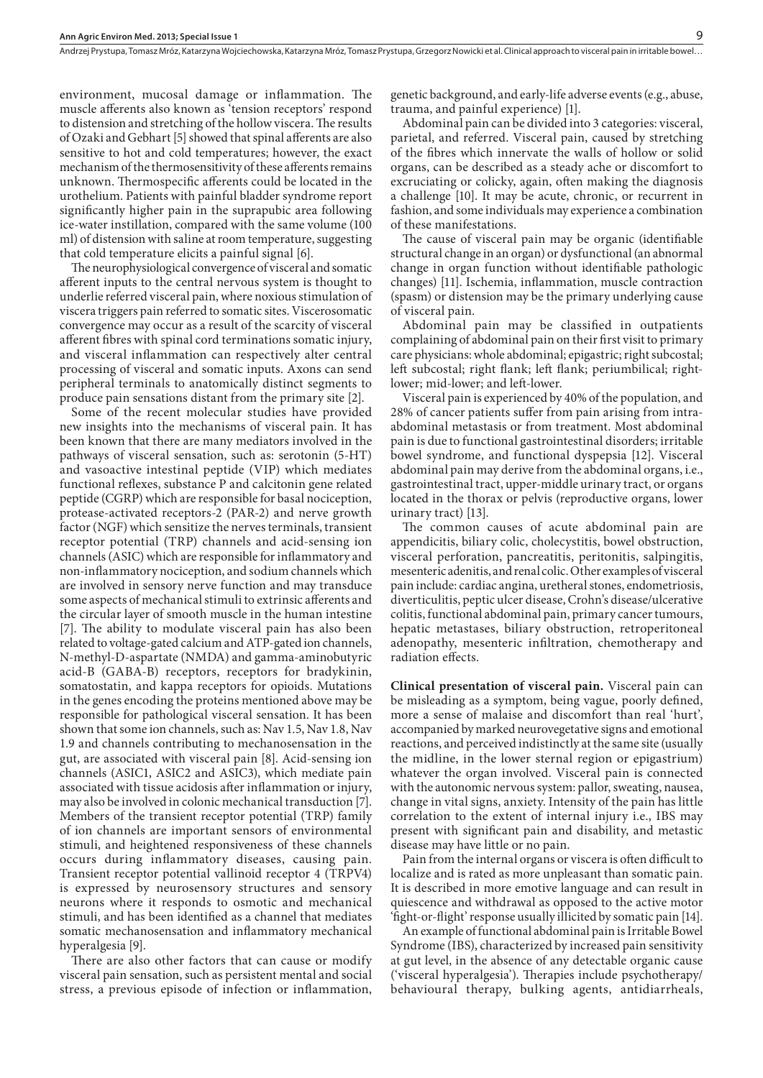environment, mucosal damage or inflammation. The muscle afferents also known as 'tension receptors' respond to distension and stretching of the hollow viscera. The results of Ozaki and Gebhart [5] showed that spinal afferents are also sensitive to hot and cold temperatures; however, the exact mechanism of the thermosensitivity of these afferents remains unknown. Thermospecific afferents could be located in the urothelium. Patients with painful bladder syndrome report significantly higher pain in the suprapubic area following ice-water instillation, compared with the same volume (100 ml) of distension with saline at room temperature, suggesting that cold temperature elicits a painful signal [6].

The neurophysiological convergence of visceral and somatic afferent inputs to the central nervous system is thought to underlie referred visceral pain, where noxious stimulation of viscera triggers pain referred to somatic sites. Viscerosomatic convergence may occur as a result of the scarcity of visceral afferent fibres with spinal cord terminations somatic injury, and visceral inflammation can respectively alter central processing of visceral and somatic inputs. Axons can send peripheral terminals to anatomically distinct segments to produce pain sensations distant from the primary site [2].

Some of the recent molecular studies have provided new insights into the mechanisms of visceral pain. It has been known that there are many mediators involved in the pathways of visceral sensation, such as: serotonin (5-HT) and vasoactive intestinal peptide (VIP) which mediates functional reflexes, substance P and calcitonin gene related peptide (CGRP) which are responsible for basal nociception, protease-activated receptors-2 (PAR-2) and nerve growth factor (NGF) which sensitize the nerves terminals, transient receptor potential (TRP) channels and acid-sensing ion channels (ASIC) which are responsible for inflammatory and non-inflammatory nociception, and sodium channels which are involved in sensory nerve function and may transduce some aspects of mechanical stimuli to extrinsic afferents and the circular layer of smooth muscle in the human intestine [7]. The ability to modulate visceral pain has also been related to voltage-gated calcium and ATP-gated ion channels, N-methyl-D-aspartate (NMDA) and gamma-aminobutyric acid-B (GABA-B) receptors, receptors for bradykinin, somatostatin, and kappa receptors for opioids. Mutations in the genes encoding the proteins mentioned above may be responsible for pathological visceral sensation. It has been shown that some ion channels, such as: Nav 1.5, Nav 1.8, Nav 1.9 and channels contributing to mechanosensation in the gut, are associated with visceral pain [8]. Acid-sensing ion channels (ASIC1, ASIC2 and ASIC3), which mediate pain associated with tissue acidosis after inflammation or injury, may also be involved in colonic mechanical transduction [7]. Members of the transient receptor potential (TRP) family of ion channels are important sensors of environmental stimuli, and heightened responsiveness of these channels occurs during inflammatory diseases, causing pain. Transient receptor potential vallinoid receptor 4 (TRPV4) is expressed by neurosensory structures and sensory neurons where it responds to osmotic and mechanical stimuli, and has been identified as a channel that mediates somatic mechanosensation and inflammatory mechanical hyperalgesia [9].

There are also other factors that can cause or modify visceral pain sensation, such as persistent mental and social stress, a previous episode of infection or inflammation,

genetic background, and early-life adverse events (e.g., abuse, trauma, and painful experience) [1].

Abdominal pain can be divided into 3 categories: visceral, parietal, and referred. Visceral pain, caused by stretching of the fibres which innervate the walls of hollow or solid organs, can be described as a steady ache or discomfort to excruciating or colicky, again, often making the diagnosis a challenge [10]. It may be acute, chronic, or recurrent in fashion, and some individuals may experience a combination of these manifestations.

The cause of visceral pain may be organic (identifiable structural change in an organ) or dysfunctional (an abnormal change in organ function without identifiable pathologic changes) [11]. Ischemia, inflammation, muscle contraction (spasm) or distension may be the primary underlying cause of visceral pain.

Abdominal pain may be classified in outpatients complaining of abdominal pain on their first visit to primary care physicians: whole abdominal; epigastric; right subcostal; left subcostal; right flank; left flank; periumbilical; rightlower; mid-lower; and left-lower.

Visceral pain is experienced by 40% of the population, and 28% of cancer patients suffer from pain arising from intraabdominal metastasis or from treatment. Most abdominal pain is due to functional gastrointestinal disorders; irritable bowel syndrome, and functional dyspepsia [12]. Visceral abdominal pain may derive from the abdominal organs, i.e., gastrointestinal tract, upper-middle urinary tract, or organs located in the thorax or pelvis (reproductive organs, lower urinary tract) [13].

The common causes of acute abdominal pain are appendicitis, biliary colic, cholecystitis, bowel obstruction, visceral perforation, pancreatitis, peritonitis, salpingitis, mesenteric adenitis, and renal colic. Other examples of visceral pain include: cardiac angina, uretheral stones, endometriosis, diverticulitis, peptic ulcer disease, Crohn's disease/ulcerative colitis, functional abdominal pain, primary cancer tumours, hepatic metastases, biliary obstruction, retroperitoneal adenopathy, mesenteric infiltration, chemotherapy and radiation effects.

**Clinical presentation of visceral pain.** Visceral pain can be misleading as a symptom, being vague, poorly defined, more a sense of malaise and discomfort than real 'hurt', accompanied by marked neurovegetative signs and emotional reactions, and perceived indistinctly at the same site (usually the midline, in the lower sternal region or epigastrium) whatever the organ involved. Visceral pain is connected with the autonomic nervous system: pallor, sweating, nausea, change in vital signs, anxiety. Intensity of the pain has little correlation to the extent of internal injury i.e., IBS may present with significant pain and disability, and metastic disease may have little or no pain.

Pain from the internal organs or viscera is often difficult to localize and is rated as more unpleasant than somatic pain. It is described in more emotive language and can result in quiescence and withdrawal as opposed to the active motor 'fight-or-flight' response usually illicited by somatic pain [14].

An example of functional abdominal pain is Irritable Bowel Syndrome (IBS), characterized by increased pain sensitivity at gut level, in the absence of any detectable organic cause ('visceral hyperalgesia'). Therapies include psychotherapy/ behavioural therapy, bulking agents, antidiarrheals,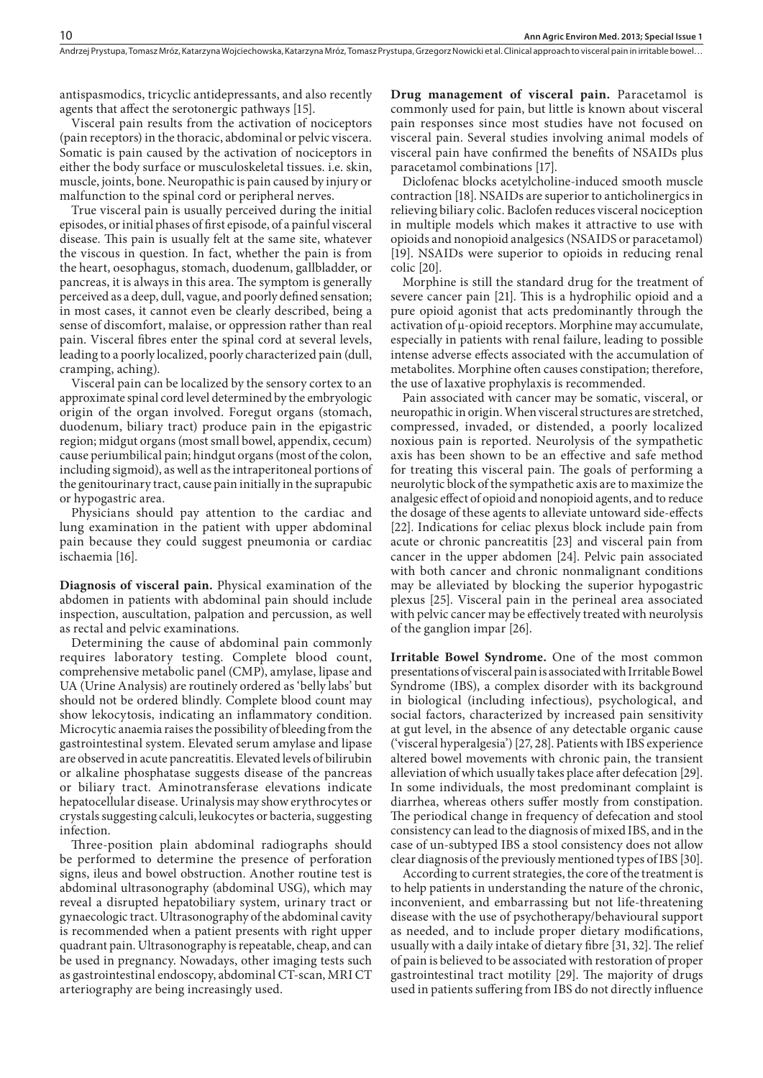antispasmodics, tricyclic antidepressants, and also recently agents that affect the serotonergic pathways [15].

Visceral pain results from the activation of nociceptors (pain receptors) in the thoracic, abdominal or pelvic viscera. Somatic is pain caused by the activation of nociceptors in either the body surface or musculoskeletal tissues. i.e. skin, muscle, joints, bone. Neuropathic is pain caused by injury or malfunction to the spinal cord or peripheral nerves.

True visceral pain is usually perceived during the initial episodes, or initial phases of first episode, of a painful visceral disease. This pain is usually felt at the same site, whatever the viscous in question. In fact, whether the pain is from the heart, oesophagus, stomach, duodenum, gallbladder, or pancreas, it is always in this area. The symptom is generally perceived as a deep, dull, vague, and poorly defined sensation; in most cases, it cannot even be clearly described, being a sense of discomfort, malaise, or oppression rather than real pain. Visceral fibres enter the spinal cord at several levels, leading to a poorly localized, poorly characterized pain (dull, cramping, aching).

Visceral pain can be localized by the sensory cortex to an approximate spinal cord level determined by the embryologic origin of the organ involved. Foregut organs (stomach, duodenum, biliary tract) produce pain in the epigastric region; midgut organs (most small bowel, appendix, cecum) cause periumbilical pain; hindgut organs (most of the colon, including sigmoid), as well as the intraperitoneal portions of the genitourinary tract, cause pain initially in the suprapubic or hypogastric area.

Physicians should pay attention to the cardiac and lung examination in the patient with upper abdominal pain because they could suggest pneumonia or cardiac ischaemia [16].

**Diagnosis of visceral pain.** Physical examination of the abdomen in patients with abdominal pain should include inspection, auscultation, palpation and percussion, as well as rectal and pelvic examinations.

Determining the cause of abdominal pain commonly requires laboratory testing. Complete blood count, comprehensive metabolic panel (CMP), amylase, lipase and UA (Urine Analysis) are routinely ordered as 'belly labs' but should not be ordered blindly. Complete blood count may show lekocytosis, indicating an inflammatory condition. Microcytic anaemia raises the possibility of bleeding from the gastrointestinal system. Elevated serum amylase and lipase are observed in acute pancreatitis. Elevated levels of bilirubin or alkaline phosphatase suggests disease of the pancreas or biliary tract. Aminotransferase elevations indicate hepatocellular disease. Urinalysis may show erythrocytes or crystals suggesting calculi, leukocytes or bacteria, suggesting infection.

Three-position plain abdominal radiographs should be performed to determine the presence of perforation signs, ileus and bowel obstruction. Another routine test is abdominal ultrasonography (abdominal USG), which may reveal a disrupted hepatobiliary system, urinary tract or gynaecologic tract. Ultrasonography of the abdominal cavity is recommended when a patient presents with right upper quadrant pain. Ultrasonography is repeatable, cheap, and can be used in pregnancy. Nowadays, other imaging tests such as gastrointestinal endoscopy, abdominal CT-scan, MRI CT arteriography are being increasingly used.

**Drug management of visceral pain.** Paracetamol is commonly used for pain, but little is known about visceral pain responses since most studies have not focused on visceral pain. Several studies involving animal models of visceral pain have confirmed the benefits of NSAIDs plus paracetamol combinations [17].

Diclofenac blocks acetylcholine-induced smooth muscle contraction [18]. NSAIDs are superior to anticholinergics in relieving biliary colic. Baclofen reduces visceral nociception in multiple models which makes it attractive to use with opioids and nonopioid analgesics (NSAIDS or paracetamol) [19]. NSAIDs were superior to opioids in reducing renal colic [20].

Morphine is still the standard drug for the treatment of severe cancer pain [21]. This is a hydrophilic opioid and a pure opioid agonist that acts predominantly through the activation of μ-opioid receptors. Morphine may accumulate, especially in patients with renal failure, leading to possible intense adverse effects associated with the accumulation of metabolites. Morphine often causes constipation; therefore, the use of laxative prophylaxis is recommended.

Pain associated with cancer may be somatic, visceral, or neuropathic in origin. When visceral structures are stretched, compressed, invaded, or distended, a poorly localized noxious pain is reported. Neurolysis of the sympathetic axis has been shown to be an effective and safe method for treating this visceral pain. The goals of performing a neurolytic block of the sympathetic axis are to maximize the analgesic effect of opioid and nonopioid agents, and to reduce the dosage of these agents to alleviate untoward side-effects [22]. Indications for celiac plexus block include pain from acute or chronic pancreatitis [23] and visceral pain from cancer in the upper abdomen [24]. Pelvic pain associated with both cancer and chronic nonmalignant conditions may be alleviated by blocking the superior hypogastric plexus [25]. Visceral pain in the perineal area associated with pelvic cancer may be effectively treated with neurolysis of the ganglion impar [26].

**Irritable Bowel Syndrome.** One of the most common presentations of visceral pain is associated with Irritable Bowel Syndrome (IBS), a complex disorder with its background in biological (including infectious), psychological, and social factors, characterized by increased pain sensitivity at gut level, in the absence of any detectable organic cause ('visceral hyperalgesia') [27, 28]. Patients with IBS experience altered bowel movements with chronic pain, the transient alleviation of which usually takes place after defecation [29]. In some individuals, the most predominant complaint is diarrhea, whereas others suffer mostly from constipation. The periodical change in frequency of defecation and stool consistency can lead to the diagnosis of mixed IBS, and in the case of un-subtyped IBS a stool consistency does not allow clear diagnosis of the previously mentioned types of IBS [30].

According to current strategies, the core of the treatment is to help patients in understanding the nature of the chronic, inconvenient, and embarrassing but not life-threatening disease with the use of psychotherapy/behavioural support as needed, and to include proper dietary modifications, usually with a daily intake of dietary fibre [31, 32]. The relief of pain is believed to be associated with restoration of proper gastrointestinal tract motility [29]. The majority of drugs used in patients suffering from IBS do not directly influence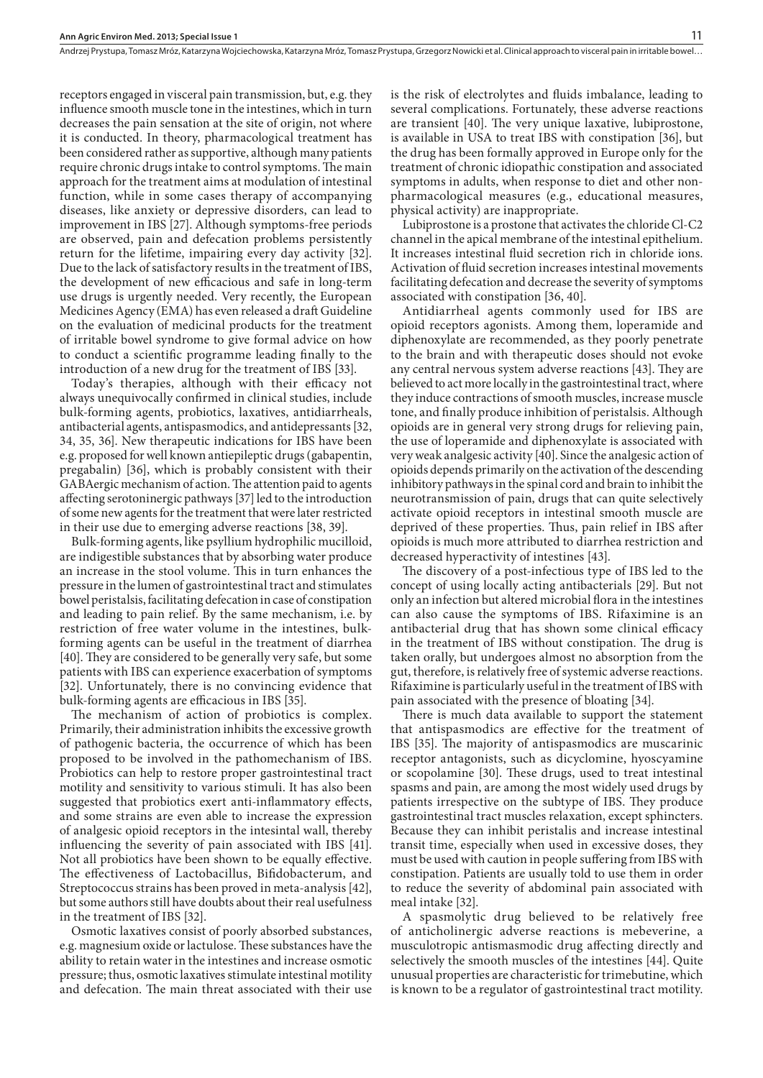Andrzej Prystupa, Tomasz Mróz, Katarzyna Wojciechowska, Katarzyna Mróz, Tomasz Prystupa, Grzegorz Nowicki et al. Clinical approach to visceral pain in irritable bowel…

receptors engaged in visceral pain transmission, but, e.g. they influence smooth muscle tone in the intestines, which in turn decreases the pain sensation at the site of origin, not where it is conducted. In theory, pharmacological treatment has been considered rather as supportive, although many patients require chronic drugs intake to control symptoms. The main approach for the treatment aims at modulation of intestinal function, while in some cases therapy of accompanying diseases, like anxiety or depressive disorders, can lead to improvement in IBS [27]. Although symptoms-free periods are observed, pain and defecation problems persistently return for the lifetime, impairing every day activity [32]. Due to the lack of satisfactory results in the treatment of IBS, the development of new efficacious and safe in long-term use drugs is urgently needed. Very recently, the European Medicines Agency (EMA) has even released a draft Guideline on the evaluation of medicinal products for the treatment of irritable bowel syndrome to give formal advice on how to conduct a scientific programme leading finally to the introduction of a new drug for the treatment of IBS [33].

Today's therapies, although with their efficacy not always unequivocally confirmed in clinical studies, include bulk-forming agents, probiotics, laxatives, antidiarrheals, antibacterial agents, antispasmodics, and antidepressants [32, 34, 35, 36]. New therapeutic indications for IBS have been e.g. proposed for well known antiepileptic drugs (gabapentin, pregabalin) [36], which is probably consistent with their GABAergic mechanism of action. The attention paid to agents affecting serotoninergic pathways [37] led to the introduction of some new agents for the treatment that were later restricted in their use due to emerging adverse reactions [38, 39].

Bulk-forming agents, like psyllium hydrophilic mucilloid, are indigestible substances that by absorbing water produce an increase in the stool volume. This in turn enhances the pressure in the lumen of gastrointestinal tract and stimulates bowel peristalsis, facilitating defecation in case of constipation and leading to pain relief. By the same mechanism, i.e. by restriction of free water volume in the intestines, bulkforming agents can be useful in the treatment of diarrhea [40]. They are considered to be generally very safe, but some patients with IBS can experience exacerbation of symptoms [32]. Unfortunately, there is no convincing evidence that bulk-forming agents are efficacious in IBS [35].

The mechanism of action of probiotics is complex. Primarily, their administration inhibits the excessive growth of pathogenic bacteria, the occurrence of which has been proposed to be involved in the pathomechanism of IBS. Probiotics can help to restore proper gastrointestinal tract motility and sensitivity to various stimuli. It has also been suggested that probiotics exert anti-inflammatory effects, and some strains are even able to increase the expression of analgesic opioid receptors in the intesintal wall, thereby influencing the severity of pain associated with IBS [41]. Not all probiotics have been shown to be equally effective. The effectiveness of Lactobacillus, Bifidobacterum, and Streptococcus strains has been proved in meta-analysis [42], but some authors still have doubts about their real usefulness in the treatment of IBS [32].

Osmotic laxatives consist of poorly absorbed substances, e.g. magnesium oxide or lactulose. These substances have the ability to retain water in the intestines and increase osmotic pressure; thus, osmotic laxatives stimulate intestinal motility and defecation. The main threat associated with their use

is the risk of electrolytes and fluids imbalance, leading to several complications. Fortunately, these adverse reactions are transient [40]. The very unique laxative, lubiprostone, is available in USA to treat IBS with constipation [36], but the drug has been formally approved in Europe only for the treatment of chronic idiopathic constipation and associated symptoms in adults, when response to diet and other nonpharmacological measures (e.g., educational measures, physical activity) are inappropriate.

Lubiprostone is a prostone that activates the chloride Cl-C2 channel in the apical membrane of the intestinal epithelium. It increases intestinal fluid secretion rich in chloride ions. Activation of fluid secretion increases intestinal movements facilitating defecation and decrease the severity of symptoms associated with constipation [36, 40].

Antidiarrheal agents commonly used for IBS are opioid receptors agonists. Among them, loperamide and diphenoxylate are recommended, as they poorly penetrate to the brain and with therapeutic doses should not evoke any central nervous system adverse reactions [43]. They are believed to act more locally in the gastrointestinal tract, where they induce contractions of smooth muscles, increase muscle tone, and finally produce inhibition of peristalsis. Although opioids are in general very strong drugs for relieving pain, the use of loperamide and diphenoxylate is associated with very weak analgesic activity [40]. Since the analgesic action of opioids depends primarily on the activation of the descending inhibitory pathways in the spinal cord and brain to inhibit the neurotransmission of pain, drugs that can quite selectively activate opioid receptors in intestinal smooth muscle are deprived of these properties. Thus, pain relief in IBS after opioids is much more attributed to diarrhea restriction and decreased hyperactivity of intestines [43].

The discovery of a post-infectious type of IBS led to the concept of using locally acting antibacterials [29]. But not only an infection but altered microbial flora in the intestines can also cause the symptoms of IBS. Rifaximine is an antibacterial drug that has shown some clinical efficacy in the treatment of IBS without constipation. The drug is taken orally, but undergoes almost no absorption from the gut, therefore, is relatively free of systemic adverse reactions. Rifaximine is particularly useful in the treatment of IBS with pain associated with the presence of bloating [34].

There is much data available to support the statement that antispasmodics are effective for the treatment of IBS [35]. The majority of antispasmodics are muscarinic receptor antagonists, such as dicyclomine, hyoscyamine or scopolamine [30]. These drugs, used to treat intestinal spasms and pain, are among the most widely used drugs by patients irrespective on the subtype of IBS. They produce gastrointestinal tract muscles relaxation, except sphincters. Because they can inhibit peristalis and increase intestinal transit time, especially when used in excessive doses, they must be used with caution in people suffering from IBS with constipation. Patients are usually told to use them in order to reduce the severity of abdominal pain associated with meal intake [32].

A spasmolytic drug believed to be relatively free of anticholinergic adverse reactions is mebeverine, a musculotropic antismasmodic drug affecting directly and selectively the smooth muscles of the intestines [44]. Quite unusual properties are characteristic for trimebutine, which is known to be a regulator of gastrointestinal tract motility.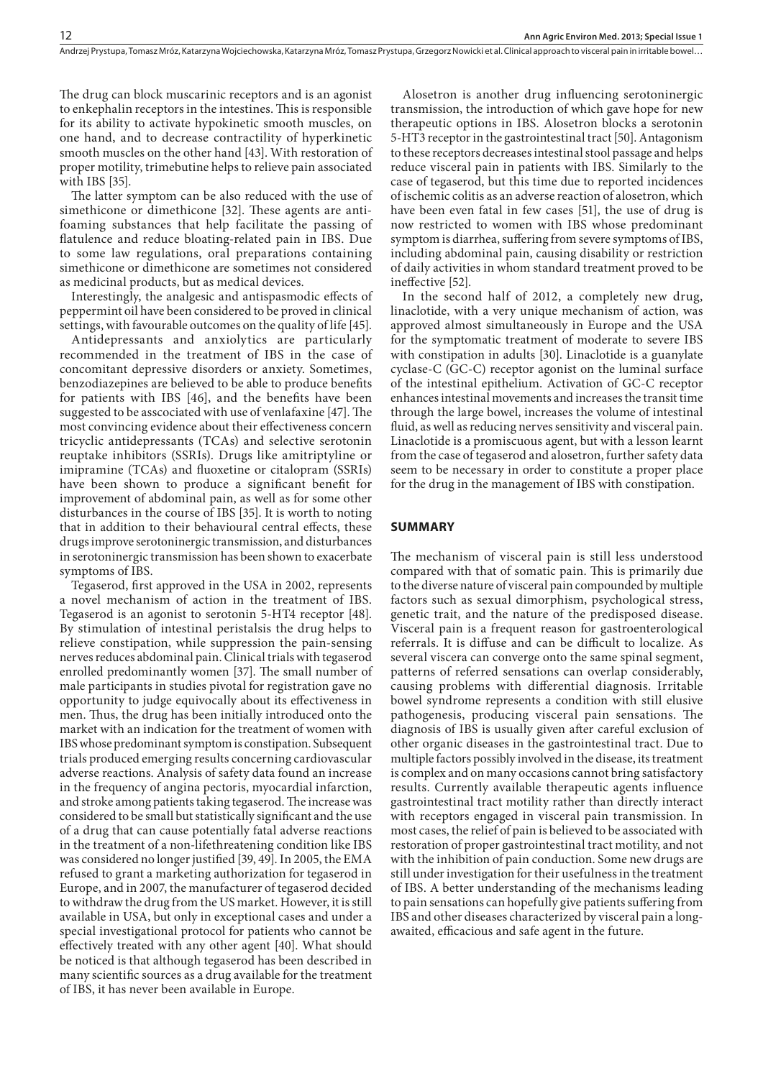The drug can block muscarinic receptors and is an agonist to enkephalin receptors in the intestines. This is responsible for its ability to activate hypokinetic smooth muscles, on one hand, and to decrease contractility of hyperkinetic smooth muscles on the other hand [43]. With restoration of proper motility, trimebutine helps to relieve pain associated with IBS [35].

The latter symptom can be also reduced with the use of simethicone or dimethicone [32]. These agents are antifoaming substances that help facilitate the passing of flatulence and reduce bloating-related pain in IBS. Due to some law regulations, oral preparations containing simethicone or dimethicone are sometimes not considered as medicinal products, but as medical devices.

Interestingly, the analgesic and antispasmodic effects of peppermint oil have been considered to be proved in clinical settings, with favourable outcomes on the quality of life [45].

Antidepressants and anxiolytics are particularly recommended in the treatment of IBS in the case of concomitant depressive disorders or anxiety. Sometimes, benzodiazepines are believed to be able to produce benefits for patients with IBS [46], and the benefits have been suggested to be asscociated with use of venlafaxine [47]. The most convincing evidence about their effectiveness concern tricyclic antidepressants (TCAs) and selective serotonin reuptake inhibitors (SSRIs). Drugs like amitriptyline or imipramine (TCAs) and fluoxetine or citalopram (SSRIs) have been shown to produce a significant benefit for improvement of abdominal pain, as well as for some other disturbances in the course of IBS [35]. It is worth to noting that in addition to their behavioural central effects, these drugs improve serotoninergic transmission, and disturbances in serotoninergic transmission has been shown to exacerbate symptoms of IBS.

Tegaserod, first approved in the USA in 2002, represents a novel mechanism of action in the treatment of IBS. Tegaserod is an agonist to serotonin 5-HT4 receptor [48]. By stimulation of intestinal peristalsis the drug helps to relieve constipation, while suppression the pain-sensing nerves reduces abdominal pain. Clinical trials with tegaserod enrolled predominantly women [37]. The small number of male participants in studies pivotal for registration gave no opportunity to judge equivocally about its effectiveness in men. Thus, the drug has been initially introduced onto the market with an indication for the treatment of women with IBS whose predominant symptom is constipation. Subsequent trials produced emerging results concerning cardiovascular adverse reactions. Analysis of safety data found an increase in the frequency of angina pectoris, myocardial infarction, and stroke among patients taking tegaserod. The increase was considered to be small but statistically significant and the use of a drug that can cause potentially fatal adverse reactions in the treatment of a non-lifethreatening condition like IBS was considered no longer justified [39, 49]. In 2005, the EMA refused to grant a marketing authorization for tegaserod in Europe, and in 2007, the manufacturer of tegaserod decided to withdraw the drug from the US market. However, it is still available in USA, but only in exceptional cases and under a special investigational protocol for patients who cannot be effectively treated with any other agent [40]. What should be noticed is that although tegaserod has been described in many scientific sources as a drug available for the treatment of IBS, it has never been available in Europe.

Alosetron is another drug influencing serotoninergic transmission, the introduction of which gave hope for new therapeutic options in IBS. Alosetron blocks a serotonin 5-HT3 receptor in the gastrointestinal tract [50]. Antagonism to these receptors decreases intestinal stool passage and helps reduce visceral pain in patients with IBS. Similarly to the case of tegaserod, but this time due to reported incidences of ischemic colitis as an adverse reaction of alosetron, which have been even fatal in few cases [51], the use of drug is now restricted to women with IBS whose predominant symptom is diarrhea, suffering from severe symptoms of IBS, including abdominal pain, causing disability or restriction of daily activities in whom standard treatment proved to be ineffective [52].

In the second half of 2012, a completely new drug, linaclotide, with a very unique mechanism of action, was approved almost simultaneously in Europe and the USA for the symptomatic treatment of moderate to severe IBS with constipation in adults [30]. Linaclotide is a guanylate cyclase-C (GC-C) receptor agonist on the luminal surface of the intestinal epithelium. Activation of GC-C receptor enhances intestinal movements and increases the transit time through the large bowel, increases the volume of intestinal fluid, as well as reducing nerves sensitivity and visceral pain. Linaclotide is a promiscuous agent, but with a lesson learnt from the case of tegaserod and alosetron, further safety data seem to be necessary in order to constitute a proper place for the drug in the management of IBS with constipation.

### **SUMMARY**

The mechanism of visceral pain is still less understood compared with that of somatic pain. This is primarily due to the diverse nature of visceral pain compounded by multiple factors such as sexual dimorphism, psychological stress, genetic trait, and the nature of the predisposed disease. Visceral pain is a frequent reason for gastroenterological referrals. It is diffuse and can be difficult to localize. As several viscera can converge onto the same spinal segment, patterns of referred sensations can overlap considerably, causing problems with differential diagnosis. Irritable bowel syndrome represents a condition with still elusive pathogenesis, producing visceral pain sensations. The diagnosis of IBS is usually given after careful exclusion of other organic diseases in the gastrointestinal tract. Due to multiple factors possibly involved in the disease, its treatment is complex and on many occasions cannot bring satisfactory results. Currently available therapeutic agents influence gastrointestinal tract motility rather than directly interact with receptors engaged in visceral pain transmission. In most cases, the relief of pain is believed to be associated with restoration of proper gastrointestinal tract motility, and not with the inhibition of pain conduction. Some new drugs are still under investigation for their usefulness in the treatment of IBS. A better understanding of the mechanisms leading to pain sensations can hopefully give patients suffering from IBS and other diseases characterized by visceral pain a longawaited, efficacious and safe agent in the future.